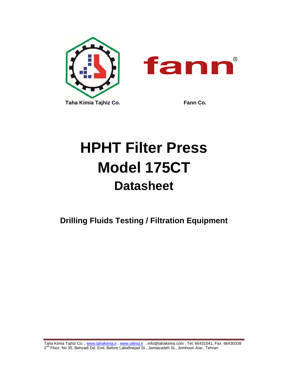

# **HPHT Filter Press Drilling Fluids Testing / Filter Press<br>
<b>Datasheet**<br>
Datasheet<br>
Drilling Fluids Testing / Filtration Equipment **Model 175CT Datasheet**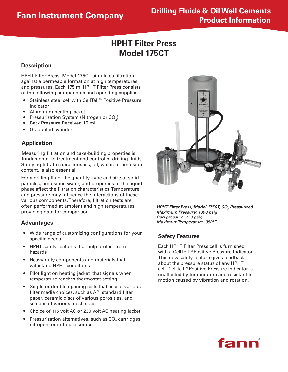# **HPHT Filter Press Model 175CT**

# **Description**

HPHT Filter Press, Model 175CT simulates filtration against a permeable formation at high temperatures and pressures. Each 175 ml HPHT Filter Press consists of the following components and operating supplies:

- Stainless steel cell with CellTell™ Positive Pressure Indicator
- • Aluminum heating jacket
- $\bullet$  Pressurization System (Nitrogen or CO $_2^{}$ )
- • Back Pressure Receiver, 15 ml
- • Graduated cylinder

# **Application**

Measuring filtration and cake-building properties is fundamental to treatment and control of drilling fluids. Studying filtrate characteristics, oil, water, or emulsion content, is also essential.

For a drilling fluid, the quantity, type and size of solid particles, emulsified water, and properties of the liquid phase affect the filtration characteristics. Temperature and pressure may influence the interactions of these various components. Therefore, filtration tests are often performed at ambient and high temperatures, providing data for comparison.

#### **Advantages**

- Wide range of customizing configurations for your specific needs
- • HPHT safety features that help protect from hazards
- Heavy-duty components and materials that withstand HPHT conditions
- Pilot light on heating jacket that signals when temperature reaches thermostat setting
- Single or double opening cells that accept various filter media choices, such as API standard filter paper, ceramic discs of various porosities, and screens of various mesh sizes
- Choice of 115 volt AC or 230 volt AC heating jacket
- $\bullet$  Pressurization alternatives, such as CO $_{_2}$  cartridges, nitrogen, or in-house source



*HPHT Filter Press, Model 175CT, CO2 Pressurized Maximum Pressure: 1800 psig Backpressure: 750 psig Maximum Temperature: 350*°*F*

#### **Safety Features**

Each HPHT Filter Press cell is furnished with a CellTell™ Positive Pressure Indicator. This new safety feature gives feedback about the pressure status of any HPHT cell. CellTell™Positive Pressure Indicator is unaffected by temperature and resistant to motion caused by vibration and rotation.

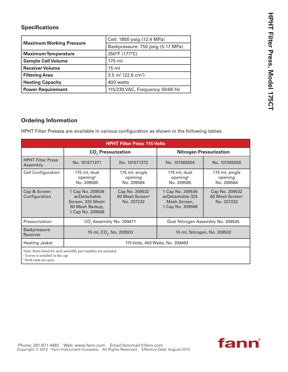# **Specifications**

| <b>Maximum Working Pressure</b> | Cell: 1800 psig (12.4 MPa)                  |  |
|---------------------------------|---------------------------------------------|--|
|                                 | Backpressure: 750 psig (5.17 MPa)           |  |
| <b>Maximum Temperature</b>      | 350°F (177°C)                               |  |
| <b>Sample Cell Volume</b>       | $175$ ml                                    |  |
| <b>Receiver Volume</b>          | $15 \text{ ml}$                             |  |
| <b>Filtering Area</b>           | 3.5 in <sup>2</sup> (22.6 cm <sup>2</sup> ) |  |
| <b>Heating Capacity</b>         | 400 watts                                   |  |
| <b>Power Requirement</b>        | 115/230 VAC, Frequency 50/60 Hz             |  |

# **Ordering Information**

HPHT Filter Presses are available in various configuration as shown in the following tables.

| <b>HPHT Filter Press 115 Volts</b>                                                                                                             |                                                                                              |                                                             |                                                                          |                                                             |  |  |
|------------------------------------------------------------------------------------------------------------------------------------------------|----------------------------------------------------------------------------------------------|-------------------------------------------------------------|--------------------------------------------------------------------------|-------------------------------------------------------------|--|--|
|                                                                                                                                                | <b>CO<sub>2</sub></b> Pressurization                                                         |                                                             | <b>Nitrogen Pressurization</b>                                           |                                                             |  |  |
| <b>HPHT Filter Press</b><br>Assembly                                                                                                           | No. 101571371                                                                                | No. 101571372                                               | No. 101565554                                                            | No. 101565556                                               |  |  |
| <b>Cell Configuration</b>                                                                                                                      | 175 ml, dual<br>openingb<br>No. 209585                                                       | 175 ml, single<br>opening<br>No. 209584                     | 175 ml, dual<br>openingb<br>No. 209585                                   | 175 ml, single<br>opening<br>No. 209584                     |  |  |
| Cap & Screen<br>Configuration                                                                                                                  | 1 Cap No. 209536<br>w/Detachable<br>Screen, 325 Mesh/<br>60 Mesh Backup,<br>1 Cap No. 209568 | Cap No. 209532<br>60 Mesh Screen <sup>a</sup><br>No. 207232 | 1 Cap No. 209536<br>w/Detachable 325<br>Mesh Screen,<br>1 Cap No. 209568 | Cap No. 209532<br>60 Mesh Screen <sup>a</sup><br>No. 207232 |  |  |
| Pressurization                                                                                                                                 | CO <sub>2</sub> Assembly No. 209471                                                          |                                                             | Dual Nitrogen Assembly No. 209545                                        |                                                             |  |  |
| <b>Backpressure</b><br>Receiver                                                                                                                | 15 ml, CO <sub>2</sub> , No. 209503                                                          |                                                             | 15 ml, Nitrogen, No. 209502                                              |                                                             |  |  |
| <b>Heating Jacket</b>                                                                                                                          | 115 Volts, 400 Watts, No. 209492                                                             |                                                             |                                                                          |                                                             |  |  |
| Note: Items listed for each assembly part number are included.<br><sup>a</sup> Screen is installed in the cap.<br><b>b</b> Both ends are open. |                                                                                              |                                                             |                                                                          |                                                             |  |  |